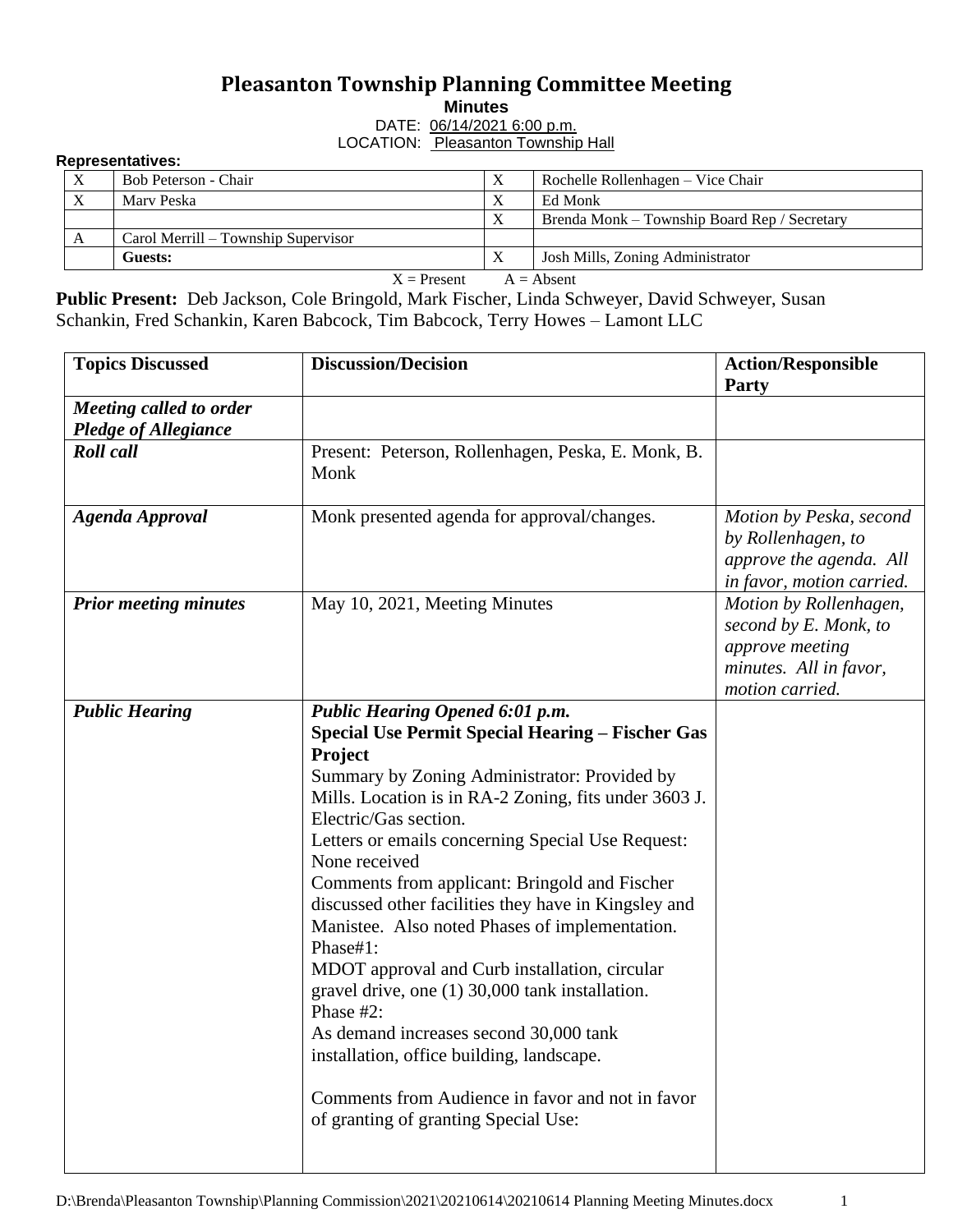## **Pleasanton Township Planning Committee Meeting Minutes**

DATE: 06/14/2021 6:00 p.m.

LOCATION: Pleasanton Township Hall

## **Representatives:**

| $\mathbf{v}$                                                                                                                                                                                                                                                                                                                                     | Bob Peterson - Chair                | $\Lambda$    | Rochelle Rollenhagen – Vice Chair            |  |  |  |  |
|--------------------------------------------------------------------------------------------------------------------------------------------------------------------------------------------------------------------------------------------------------------------------------------------------------------------------------------------------|-------------------------------------|--------------|----------------------------------------------|--|--|--|--|
| $\mathbf{v}$                                                                                                                                                                                                                                                                                                                                     | Mary Peska                          |              | Ed Monk                                      |  |  |  |  |
|                                                                                                                                                                                                                                                                                                                                                  |                                     | $\mathbf{v}$ | Brenda Monk – Township Board Rep / Secretary |  |  |  |  |
|                                                                                                                                                                                                                                                                                                                                                  | Carol Merrill – Township Supervisor |              |                                              |  |  |  |  |
|                                                                                                                                                                                                                                                                                                                                                  | Guests:                             | $\Lambda$    | Josh Mills, Zoning Administrator             |  |  |  |  |
| $\mathbf{v}$ $\mathbf{v}$ $\mathbf{v}$ $\mathbf{v}$ $\mathbf{v}$ $\mathbf{v}$ $\mathbf{v}$ $\mathbf{v}$ $\mathbf{v}$ $\mathbf{v}$ $\mathbf{v}$ $\mathbf{v}$ $\mathbf{v}$ $\mathbf{v}$ $\mathbf{v}$ $\mathbf{v}$ $\mathbf{v}$ $\mathbf{v}$ $\mathbf{v}$ $\mathbf{v}$ $\mathbf{v}$ $\mathbf{v}$ $\mathbf{v}$ $\mathbf{v}$ $\mathbf{$<br>$\sqrt{1}$ |                                     |              |                                              |  |  |  |  |

 $X =$  Present  $A =$  Absent

**Public Present:** Deb Jackson, Cole Bringold, Mark Fischer, Linda Schweyer, David Schweyer, Susan Schankin, Fred Schankin, Karen Babcock, Tim Babcock, Terry Howes – Lamont LLC

| <b>Topics Discussed</b>                                       | <b>Discussion/Decision</b>                                                                                                                                                                                                                                                                                                                                                                                                                                                                                                                                                                                                                                                                                                                                                               | <b>Action/Responsible</b><br>Party                                                                              |
|---------------------------------------------------------------|------------------------------------------------------------------------------------------------------------------------------------------------------------------------------------------------------------------------------------------------------------------------------------------------------------------------------------------------------------------------------------------------------------------------------------------------------------------------------------------------------------------------------------------------------------------------------------------------------------------------------------------------------------------------------------------------------------------------------------------------------------------------------------------|-----------------------------------------------------------------------------------------------------------------|
| <b>Meeting called to order</b><br><b>Pledge of Allegiance</b> |                                                                                                                                                                                                                                                                                                                                                                                                                                                                                                                                                                                                                                                                                                                                                                                          |                                                                                                                 |
| <b>Roll</b> call                                              | Present: Peterson, Rollenhagen, Peska, E. Monk, B.<br>Monk                                                                                                                                                                                                                                                                                                                                                                                                                                                                                                                                                                                                                                                                                                                               |                                                                                                                 |
| <b>Agenda Approval</b>                                        | Monk presented agenda for approval/changes.                                                                                                                                                                                                                                                                                                                                                                                                                                                                                                                                                                                                                                                                                                                                              | Motion by Peska, second<br>by Rollenhagen, to<br>approve the agenda. All<br>in favor, motion carried.           |
| <b>Prior meeting minutes</b>                                  | May 10, 2021, Meeting Minutes                                                                                                                                                                                                                                                                                                                                                                                                                                                                                                                                                                                                                                                                                                                                                            | Motion by Rollenhagen,<br>second by E. Monk, to<br>approve meeting<br>minutes. All in favor,<br>motion carried. |
| <b>Public Hearing</b>                                         | Public Hearing Opened 6:01 p.m.<br><b>Special Use Permit Special Hearing - Fischer Gas</b><br>Project<br>Summary by Zoning Administrator: Provided by<br>Mills. Location is in RA-2 Zoning, fits under 3603 J.<br>Electric/Gas section.<br>Letters or emails concerning Special Use Request:<br>None received<br>Comments from applicant: Bringold and Fischer<br>discussed other facilities they have in Kingsley and<br>Manistee. Also noted Phases of implementation.<br>Phase#1:<br>MDOT approval and Curb installation, circular<br>gravel drive, one (1) 30,000 tank installation.<br>Phase #2:<br>As demand increases second 30,000 tank<br>installation, office building, landscape.<br>Comments from Audience in favor and not in favor<br>of granting of granting Special Use: |                                                                                                                 |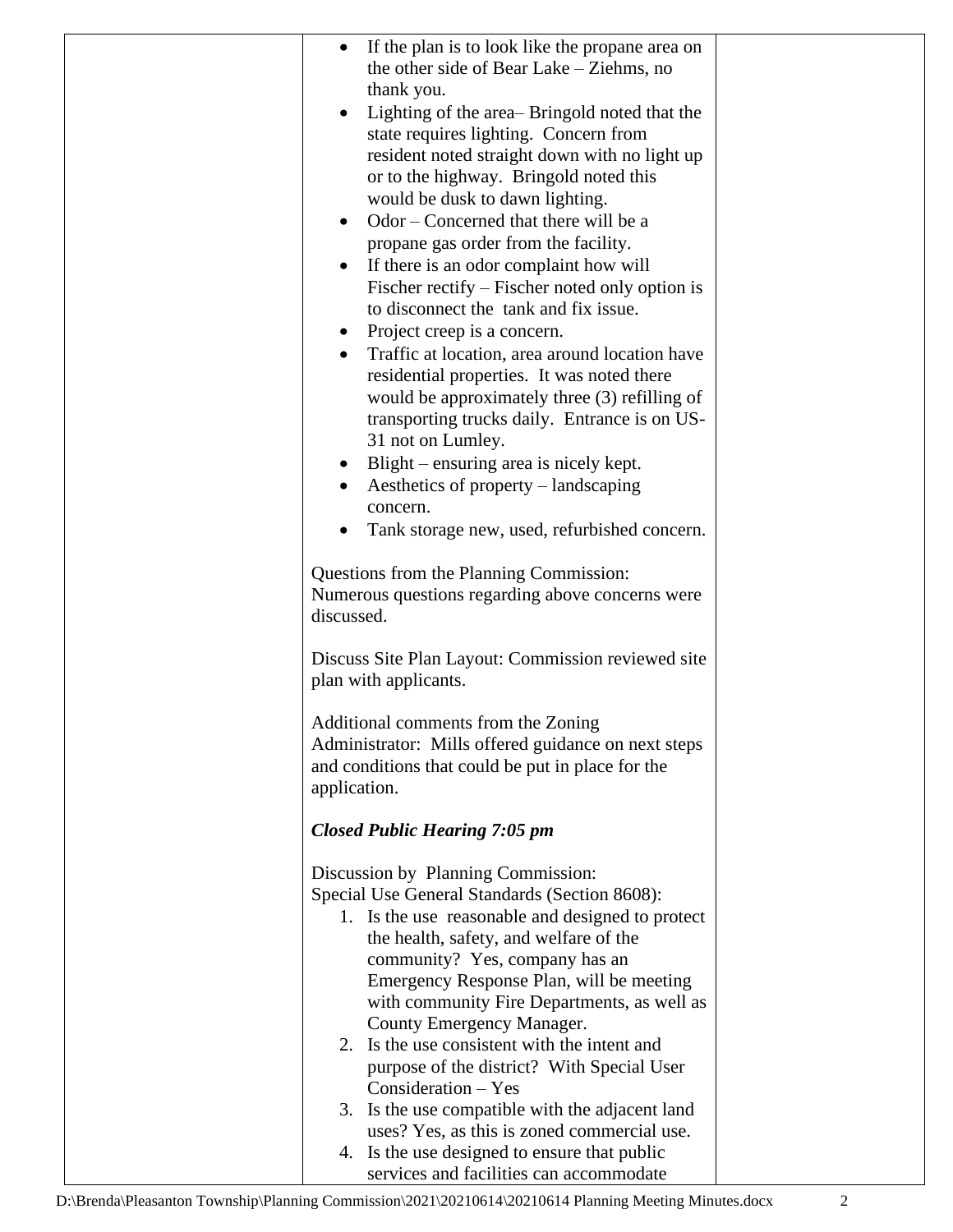| If the plan is to look like the propane area on<br>the other side of Bear Lake – Ziehms, no<br>thank you.<br>Lighting of the area-Bringold noted that the<br>state requires lighting. Concern from<br>resident noted straight down with no light up<br>or to the highway. Bringold noted this<br>would be dusk to dawn lighting.<br>Odor – Concerned that there will be a<br>propane gas order from the facility.<br>If there is an odor complaint how will<br>Fischer rectify – Fischer noted only option is<br>to disconnect the tank and fix issue.<br>Project creep is a concern.<br>$\bullet$<br>Traffic at location, area around location have<br>residential properties. It was noted there<br>would be approximately three (3) refilling of<br>transporting trucks daily. Entrance is on US-<br>31 not on Lumley.<br>Blight – ensuring area is nicely kept.<br>٠<br>Aesthetics of property – landscaping<br>concern.<br>Tank storage new, used, refurbished concern.<br>Questions from the Planning Commission:<br>Numerous questions regarding above concerns were |                                         |
|-----------------------------------------------------------------------------------------------------------------------------------------------------------------------------------------------------------------------------------------------------------------------------------------------------------------------------------------------------------------------------------------------------------------------------------------------------------------------------------------------------------------------------------------------------------------------------------------------------------------------------------------------------------------------------------------------------------------------------------------------------------------------------------------------------------------------------------------------------------------------------------------------------------------------------------------------------------------------------------------------------------------------------------------------------------------------------|-----------------------------------------|
| discussed.                                                                                                                                                                                                                                                                                                                                                                                                                                                                                                                                                                                                                                                                                                                                                                                                                                                                                                                                                                                                                                                                  |                                         |
| Discuss Site Plan Layout: Commission reviewed site<br>plan with applicants.                                                                                                                                                                                                                                                                                                                                                                                                                                                                                                                                                                                                                                                                                                                                                                                                                                                                                                                                                                                                 |                                         |
| Additional comments from the Zoning<br>Administrator: Mills offered guidance on next steps<br>and conditions that could be put in place for the<br>application.                                                                                                                                                                                                                                                                                                                                                                                                                                                                                                                                                                                                                                                                                                                                                                                                                                                                                                             |                                         |
| <b>Closed Public Hearing 7:05 pm</b>                                                                                                                                                                                                                                                                                                                                                                                                                                                                                                                                                                                                                                                                                                                                                                                                                                                                                                                                                                                                                                        |                                         |
| Discussion by Planning Commission:<br>Special Use General Standards (Section 8608):<br>1. Is the use reasonable and designed to protect<br>the health, safety, and welfare of the<br>community? Yes, company has an<br>Emergency Response Plan, will be meeting<br>with community Fire Departments, as well as<br>County Emergency Manager.<br>2. Is the use consistent with the intent and<br>purpose of the district? With Special User<br>$Consideration - Yes$<br>3. Is the use compatible with the adjacent land<br>uses? Yes, as this is zoned commercial use.<br>4. Is the use designed to ensure that public                                                                                                                                                                                                                                                                                                                                                                                                                                                        |                                         |
|                                                                                                                                                                                                                                                                                                                                                                                                                                                                                                                                                                                                                                                                                                                                                                                                                                                                                                                                                                                                                                                                             | services and facilities can accommodate |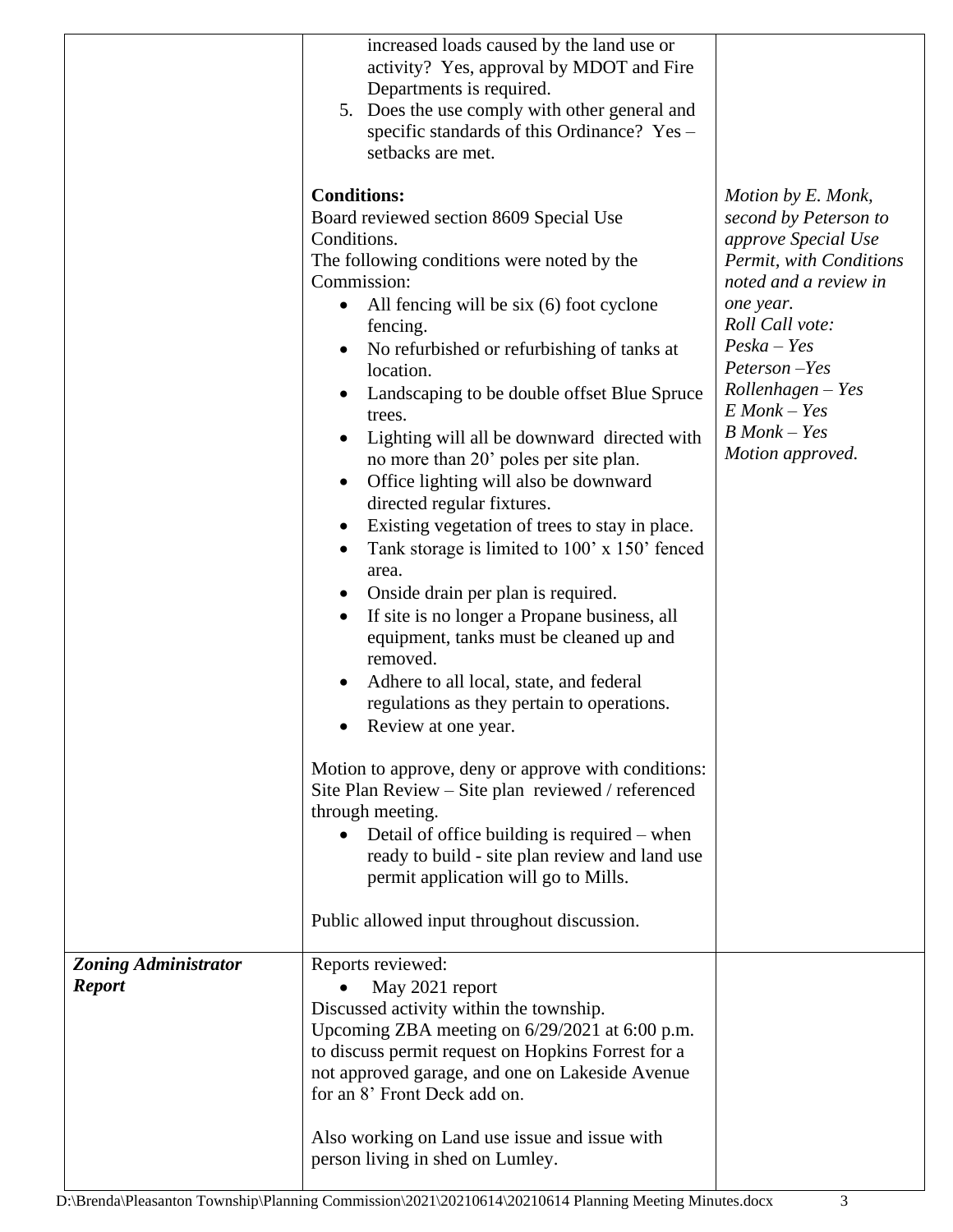|                                              | increased loads caused by the land use or<br>activity? Yes, approval by MDOT and Fire<br>Departments is required.<br>5. Does the use comply with other general and<br>specific standards of this Ordinance? Yes -<br>setbacks are met.<br><b>Conditions:</b><br>Board reviewed section 8609 Special Use<br>Conditions.<br>The following conditions were noted by the<br>Commission:<br>All fencing will be $six(6)$ foot cyclone<br>$\bullet$<br>fencing.<br>No refurbished or refurbishing of tanks at<br>location.<br>Landscaping to be double offset Blue Spruce<br>trees.<br>Lighting will all be downward directed with<br>no more than 20' poles per site plan.<br>Office lighting will also be downward<br>$\bullet$<br>directed regular fixtures.<br>Existing vegetation of trees to stay in place.<br>Tank storage is limited to 100' x 150' fenced<br>area.<br>Onside drain per plan is required.<br>If site is no longer a Propane business, all<br>equipment, tanks must be cleaned up and<br>removed.<br>Adhere to all local, state, and federal<br>regulations as they pertain to operations.<br>Review at one year.<br>Motion to approve, deny or approve with conditions:<br>Site Plan Review – Site plan reviewed / referenced<br>through meeting.<br>• Detail of office building is required – when<br>ready to build - site plan review and land use<br>permit application will go to Mills. | Motion by E. Monk,<br>second by Peterson to<br>approve Special Use<br>Permit, with Conditions<br>noted and a review in<br>one year.<br>Roll Call vote:<br>$Peska-Yes$<br>Peterson-Yes<br>$Rollenhagen - Yes$<br>$E$ Monk – Yes<br>$B$ Monk $-$ Yes<br>Motion approved. |
|----------------------------------------------|-----------------------------------------------------------------------------------------------------------------------------------------------------------------------------------------------------------------------------------------------------------------------------------------------------------------------------------------------------------------------------------------------------------------------------------------------------------------------------------------------------------------------------------------------------------------------------------------------------------------------------------------------------------------------------------------------------------------------------------------------------------------------------------------------------------------------------------------------------------------------------------------------------------------------------------------------------------------------------------------------------------------------------------------------------------------------------------------------------------------------------------------------------------------------------------------------------------------------------------------------------------------------------------------------------------------------------------------------------------------------------------------------------------------|------------------------------------------------------------------------------------------------------------------------------------------------------------------------------------------------------------------------------------------------------------------------|
|                                              | Public allowed input throughout discussion.                                                                                                                                                                                                                                                                                                                                                                                                                                                                                                                                                                                                                                                                                                                                                                                                                                                                                                                                                                                                                                                                                                                                                                                                                                                                                                                                                                     |                                                                                                                                                                                                                                                                        |
| <b>Zoning Administrator</b><br><b>Report</b> | Reports reviewed:<br>May 2021 report<br>Discussed activity within the township.<br>Upcoming ZBA meeting on 6/29/2021 at 6:00 p.m.<br>to discuss permit request on Hopkins Forrest for a<br>not approved garage, and one on Lakeside Avenue<br>for an 8' Front Deck add on.<br>Also working on Land use issue and issue with<br>person living in shed on Lumley.                                                                                                                                                                                                                                                                                                                                                                                                                                                                                                                                                                                                                                                                                                                                                                                                                                                                                                                                                                                                                                                 |                                                                                                                                                                                                                                                                        |